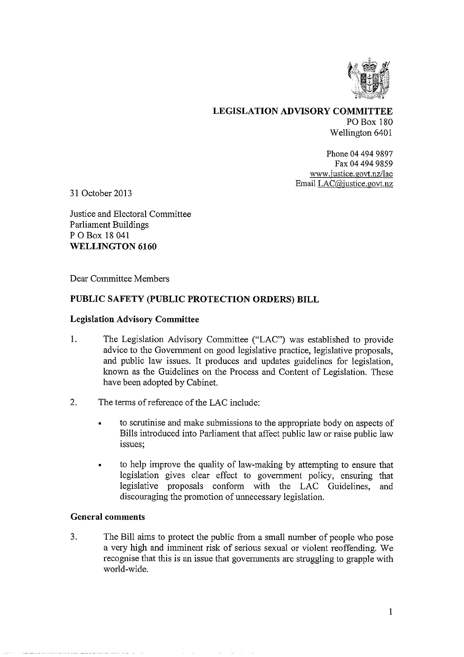

LEGISLATION ADVISORY COMMITTEE PO Box 180 Wellington 6401

> Phone 04 494 9897 Fax 04 494 9859 www.justice.govt.nz/lac Email LAC@justice.govt.nz

31 October 2013

Justice and Electoral Committee Parliament Buildings P 0 Box 18 041 WELLINGTON 6160

Dear Committee Members

## PUBLIC SAFETY (PUBLIC PROTECTION ORDERS) BILL

### Legislation Advisory Committee

- 1. The Legislation Advisory Committee ("LAC") was established to provide advice to the Government on good legislative practice, legislative proposals, and public law issues. It produces and updates guidelines for legislation, known as the Guidelines on the Process and Content of Legislation. These have been adopted by Cabinet.
- 2. The terms of reference of the LAC include:
	- to scrutinise and make submissions to the appropriate body on aspects of Bills introduced into Parliament that affect public law or raise public law issues;
	- to help improve the quality of law-making by attempting to ensure that legislation gives clear effect to government policy, ensuring that legislative proposals conform with the LAC Guidelines, and discouraging the promotion of unnecessary legislation.

#### General comments

3. The Bill aims to protect the public from a small number of people who pose a very high and imminent risk of serious sexual or violent reoffending. We recognise that this is an issue that governments are struggling to grapple with world-wide.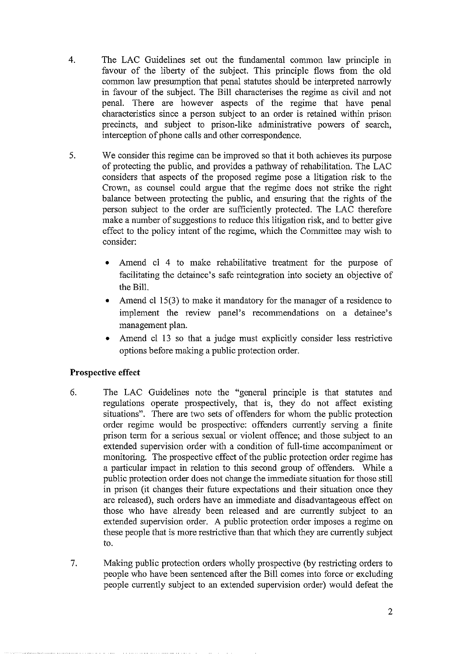- 4. The LAC Guidelines set out the fundamental common law principle in favour of the liberty of the subject. This principle flows from the old common law presumption that penal statutes should be interpreted narrowly in favour of the subject. The Bill characterises the regime as civil and not penal. There are however aspects of the regime that have penal characteristics since a person subject to an order is retained within prison precincts, and subject to prison-like administrative powers of search, interception of phone calls and other correspondence.
- 5. We consider this regime can be improved so that it both achieves its purpose of protecting the public, and provides a pathway of rehabilitation. The LAC considers that aspects of the proposed regime pose a litigation risk to the Crown, as counsel could argue that the regime does not strike the right balance between protecting the public, and ensuring that the rights of the person subject to the order are sufficiently protected. The LAC therefore make a number of suggestions to reduce this litigation risk, and to better give effect to the policy intent of the regime, which the Committee may wish to consider:
	- Amend cl 4 to make rehabilitative treatment for the purpose of facilitating the detainee's safe reintegration into society an objective of the Bill.
	- Amend cl 15(3) to make it mandatory for the manager of a residence to implement the review panel's recommendations on a detainee's management plan.
	- Amend cl 13 so that a judge must explicitly consider less restrictive options before making a public protection order.

# Prospective effect

- 6. The LAC Guidelines note the "general principle is that statutes and regulations operate prospectively, that is, they do not affect existing situations". There are two sets of offenders for whom the public protection order regime would be prospective: offenders currently serving a finite prison term for a serious sexual or violent offence; and those subject to an extended supervision order with a condition of full-time accompaniment or monitoring. The prospective effect of the public protection order regime has a particular impact in relation to this second group of offenders. While a public protection order does not change the immediate situation for those still in prison (it changes their future expectations and their situation once they are released), such orders have an immediate and disadvantageous effect on those who have already been released and are currently subject to an extended supervision order. A public protection order imposes a regime on these people that is more restrictive than that which they are currently subject to.
- 7. Making public protection orders wholly prospective (by restricting orders to people who have been sentenced after the Bill comes into force or excluding people currently subject to an extended supervision order) would defeat the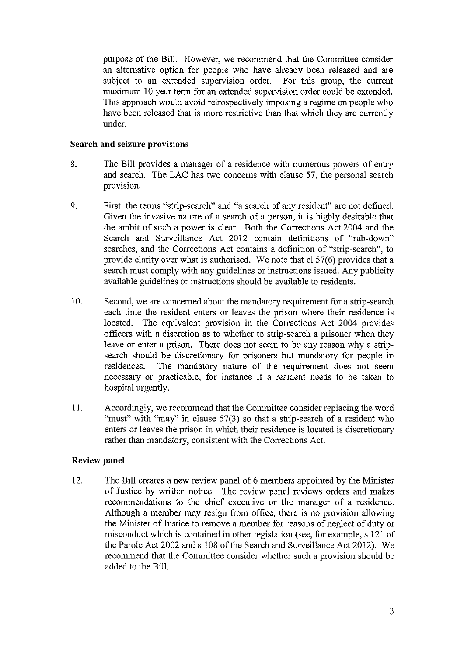purpose of the Bill. However, we recommend that the Committee consider an alternative option for people who have already been released and are subject to an extended supervision order. For this group, the current maximum 10 year term for an extended supervision order could be extended. This approach would avoid retrospectively imposing a regime on people who have been released that is more restrictive than that which they are currently under.

### Search and seizure provisions

- 8. The Bill provides a manager of a residence with numerous powers of entry and search. The LAC has two concerns with clause 57, the personal search provision.
- 9. First, the terms "strip-search" and "a search of any resident" are not defined. Given the invasive nature of a search of a person, it is highly desirable that the ambit of such a power is clear. Both the Corrections Act 2004 and the Search and Surveillance Act 2012 contain definitions of "rub-down" searches, and the Corrections Act contains a definition of "strip-search", to provide clarity over what is authorised. We note that el 57(6) provides that a search must comply with any guidelines or instructions issued. Any publicity available guidelines or instructions should be available to residents.
- 10. Second, we are concerned about the mandatory requirement for a strip-search each time the resident enters or leaves the prison where their residence is located. The equivalent provision in the Corrections Act 2004 provides officers with a discretion as to whether to strip-search a prisoner when they leave or enter a prison. There does not seem to be any reason why a stripsearch should be discretionary for prisoners but mandatory for people in residences. The mandatory nature of the requirement does not seem necessary or practicable, for instance if a resident needs to be taken to hospital urgently.
- 11. Accordingly, we recommend that the Committee consider replacing the word "must" with "may" in clause 57(3) so that a strip-search of a resident who enters or leaves the prison in which their residence is located is discretionary rather than mandatory, consistent with the Corrections Act.

### Review panel

12. The Bill creates a new review panel of 6 members appointed by the Minister of Justice by written notice. The review panel reviews orders and makes recommendations to the chief executive or the manager of a residence. Although a member may resign from office, there is no provision allowing the Minister of Justice to remove a member for reasons of neglect of duty or misconduct which is contained in other legislation (see, for example, s 121 of the Parole Act 2002 and s 108 of the Search and Surveillance Act 2012). We recommend that the Committee consider whether such a provision should be added to the Bill.